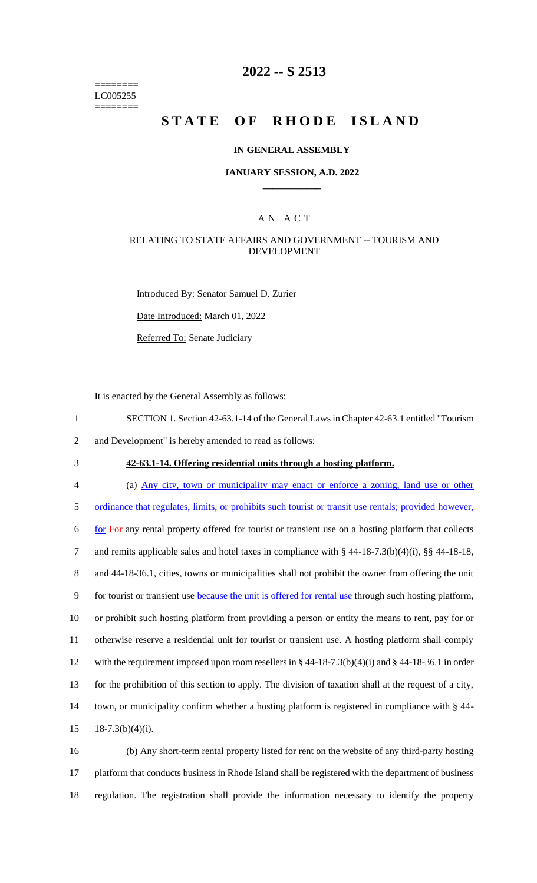======== LC005255 ========

# **2022 -- S 2513**

# **STATE OF RHODE ISLAND**

#### **IN GENERAL ASSEMBLY**

#### **JANUARY SESSION, A.D. 2022 \_\_\_\_\_\_\_\_\_\_\_\_**

### A N A C T

#### RELATING TO STATE AFFAIRS AND GOVERNMENT -- TOURISM AND DEVELOPMENT

Introduced By: Senator Samuel D. Zurier

Date Introduced: March 01, 2022

Referred To: Senate Judiciary

It is enacted by the General Assembly as follows:

1 SECTION 1. Section 42-63.1-14 of the General Laws in Chapter 42-63.1 entitled "Tourism

2 and Development" is hereby amended to read as follows:

3 **42-63.1-14. Offering residential units through a hosting platform.**

 (a) Any city, town or municipality may enact or enforce a zoning, land use or other ordinance that regulates, limits, or prohibits such tourist or transit use rentals; provided however, 6 for For any rental property offered for tourist or transient use on a hosting platform that collects and remits applicable sales and hotel taxes in compliance with § 44-18-7.3(b)(4)(i), §§ 44-18-18, 8 and 44-18-36.1, cities, towns or municipalities shall not prohibit the owner from offering the unit 9 for tourist or transient use **because the unit is offered for rental use** through such hosting platform, or prohibit such hosting platform from providing a person or entity the means to rent, pay for or otherwise reserve a residential unit for tourist or transient use. A hosting platform shall comply with the requirement imposed upon room resellers in § 44-18-7.3(b)(4)(i) and § 44-18-36.1 in order for the prohibition of this section to apply. The division of taxation shall at the request of a city, town, or municipality confirm whether a hosting platform is registered in compliance with § 44-  $18-7.3(b)(4)(i)$ .

16 (b) Any short-term rental property listed for rent on the website of any third-party hosting 17 platform that conducts business in Rhode Island shall be registered with the department of business 18 regulation. The registration shall provide the information necessary to identify the property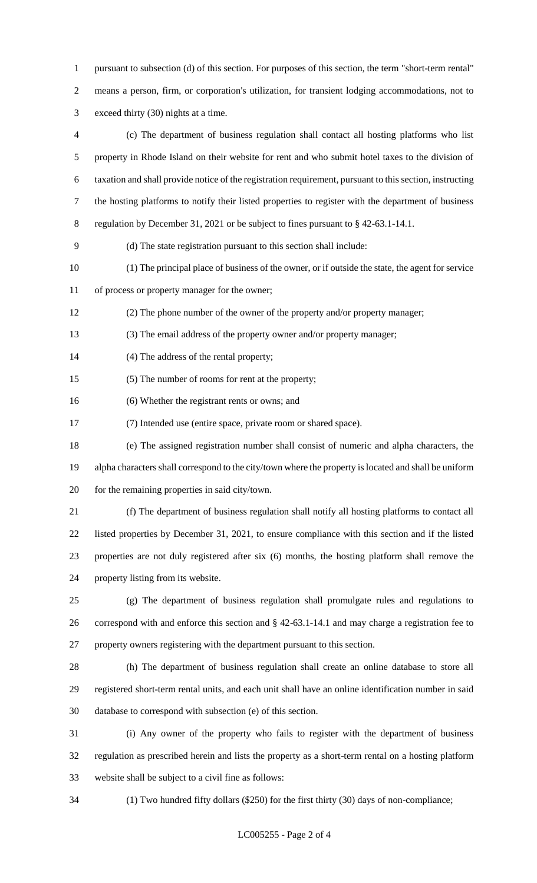pursuant to subsection (d) of this section. For purposes of this section, the term "short-term rental" means a person, firm, or corporation's utilization, for transient lodging accommodations, not to exceed thirty (30) nights at a time.

 (c) The department of business regulation shall contact all hosting platforms who list property in Rhode Island on their website for rent and who submit hotel taxes to the division of taxation and shall provide notice of the registration requirement, pursuant to this section, instructing the hosting platforms to notify their listed properties to register with the department of business regulation by December 31, 2021 or be subject to fines pursuant to § 42-63.1-14.1. (d) The state registration pursuant to this section shall include: (1) The principal place of business of the owner, or if outside the state, the agent for service of process or property manager for the owner; (2) The phone number of the owner of the property and/or property manager; (3) The email address of the property owner and/or property manager; (4) The address of the rental property; (5) The number of rooms for rent at the property; (6) Whether the registrant rents or owns; and (7) Intended use (entire space, private room or shared space). (e) The assigned registration number shall consist of numeric and alpha characters, the alpha characters shall correspond to the city/town where the property is located and shall be uniform for the remaining properties in said city/town. (f) The department of business regulation shall notify all hosting platforms to contact all listed properties by December 31, 2021, to ensure compliance with this section and if the listed properties are not duly registered after six (6) months, the hosting platform shall remove the property listing from its website. (g) The department of business regulation shall promulgate rules and regulations to correspond with and enforce this section and § 42-63.1-14.1 and may charge a registration fee to property owners registering with the department pursuant to this section. (h) The department of business regulation shall create an online database to store all registered short-term rental units, and each unit shall have an online identification number in said database to correspond with subsection (e) of this section. (i) Any owner of the property who fails to register with the department of business regulation as prescribed herein and lists the property as a short-term rental on a hosting platform website shall be subject to a civil fine as follows: (1) Two hundred fifty dollars (\$250) for the first thirty (30) days of non-compliance;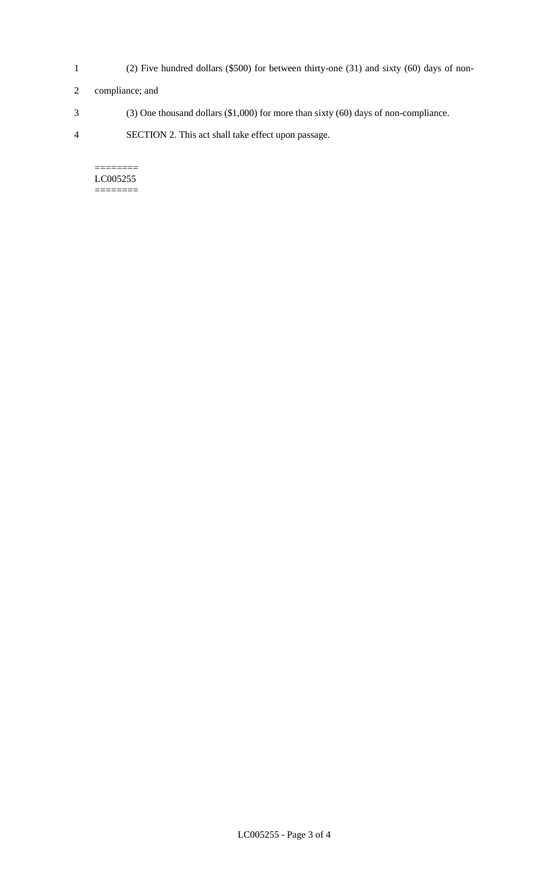- 1 (2) Five hundred dollars (\$500) for between thirty-one (31) and sixty (60) days of non-
- 2 compliance; and
- 3 (3) One thousand dollars (\$1,000) for more than sixty (60) days of non-compliance.
- 4 SECTION 2. This act shall take effect upon passage.

======== LC005255 ========